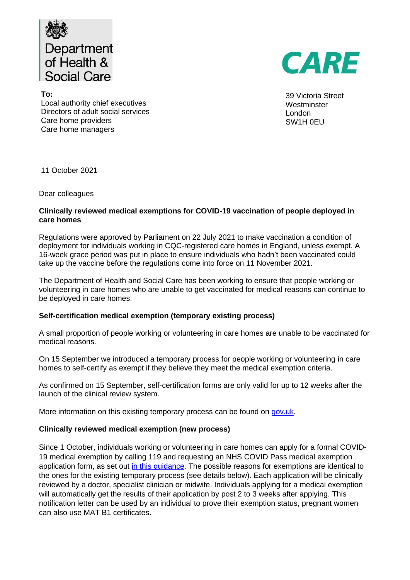

CARE

39 Victoria Street **Westminster** London SW1H 0EU

**To:**  Local authority chief executives Directors of adult social services Care home providers Care home managers

11 October 2021

Dear colleagues

# **Clinically reviewed medical exemptions for COVID-19 vaccination of people deployed in care homes**

Regulations were approved by Parliament on 22 July 2021 to make vaccination a condition of deployment for individuals working in CQC-registered care homes in England, unless exempt. A 16-week grace period was put in place to ensure individuals who hadn't been vaccinated could take up the vaccine before the regulations come into force on 11 November 2021.

The Department of Health and Social Care has been working to ensure that people working or volunteering in care homes who are unable to get vaccinated for medical reasons can continue to be deployed in care homes.

# **Self-certification medical exemption (temporary existing process)**

A small proportion of people working or volunteering in care homes are unable to be vaccinated for medical reasons.

On 15 September we introduced a temporary process for people working or volunteering in care homes to self-certify as exempt if they believe they meet the medical exemption criteria.

As confirmed on 15 September, self-certification forms are only valid for up to 12 weeks after the launch of the clinical review system.

More information on this existing temporary process can be found on [gov.uk.](https://www.gov.uk/government/publications/temporary-medical-exemptions-for-covid-19-vaccination-of-people-working-or-deployed-in-care-homes)

# **Clinically reviewed medical exemption (new process)**

Since 1 October, individuals working or volunteering in care homes can apply for a formal COVID-19 medical exemption by calling 119 and requesting an NHS COVID Pass medical exemption application form, as set out [in this guidance.](https://www.gov.uk/guidance/covid-19-medical-exemptions-proving-you-are-unable-to-get-vaccinated) The possible reasons for exemptions are identical to the ones for the existing temporary process (see details below). Each application will be clinically reviewed by a doctor, specialist clinician or midwife. Individuals applying for a medical exemption will automatically get the results of their application by post 2 to 3 weeks after applying. This notification letter can be used by an individual to prove their exemption status, pregnant women can also use MAT B1 certificates.